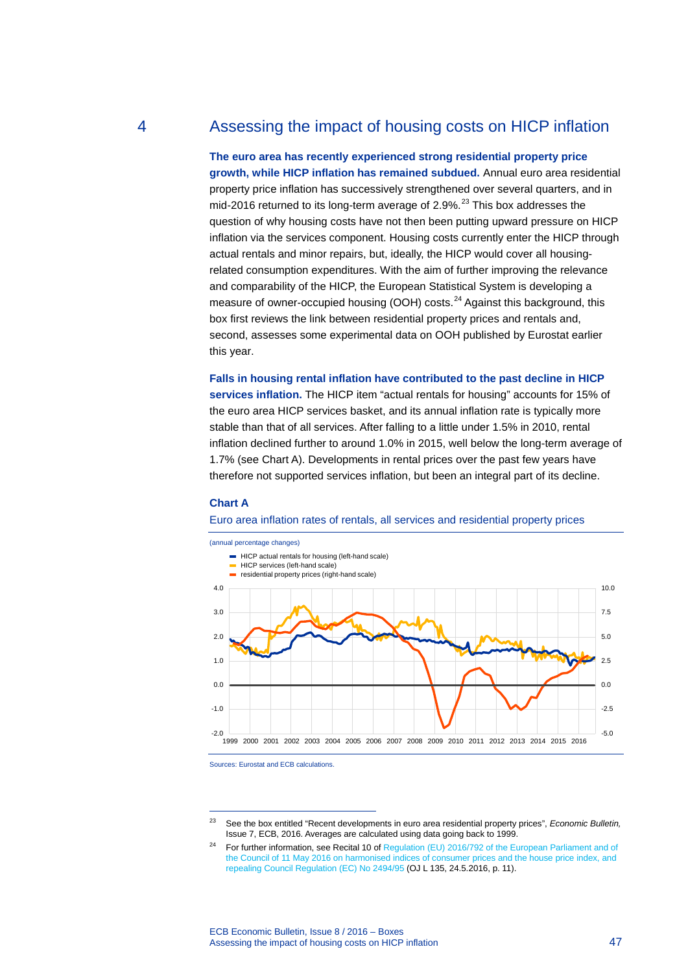# 4 Assessing the impact of housing costs on HICP inflation

**The euro area has recently experienced strong residential property price growth, while HICP inflation has remained subdued.** Annual euro area residential property price inflation has successively strengthened over several quarters, and in mid-2016 returned to its long-term average of 2.9%.<sup>[23](#page-0-0)</sup> This box addresses the question of why housing costs have not then been putting upward pressure on HICP inflation via the services component. Housing costs currently enter the HICP through actual rentals and minor repairs, but, ideally, the HICP would cover all housingrelated consumption expenditures. With the aim of further improving the relevance and comparability of the HICP, the European Statistical System is developing a measure of owner-occupied housing (OOH) costs.<sup>[24](#page-0-1)</sup> Against this background, this box first reviews the link between residential property prices and rentals and, second, assesses some experimental data on OOH published by Eurostat earlier this year.

**Falls in housing rental inflation have contributed to the past decline in HICP services inflation.** The HICP item "actual rentals for housing" accounts for 15% of the euro area HICP services basket, and its annual inflation rate is typically more stable than that of all services. After falling to a little under 1.5% in 2010, rental inflation declined further to around 1.0% in 2015, well below the long-term average of 1.7% (see Chart A). Developments in rental prices over the past few years have therefore not supported services inflation, but been an integral part of its decline.

## **Chart A**

### Euro area inflation rates of rentals, all services and residential property prices



Sources: Eurostat and ECB calculations.

-

<span id="page-0-1"></span><span id="page-0-0"></span><sup>23</sup> See the box entitled "Recent developments in euro area residential property prices", *Economic Bulletin,* Issue 7, ECB, 2016. Averages are calculated using data going back to 1999.

<sup>&</sup>lt;sup>24</sup> For further information, see Recital 10 of Regulation (EU) 2016/792 of the European Parliament and of [the Council of 11 May 2016 on harmonised indices of consumer prices and the house price index, and](http://eur-lex.europa.eu/legal-content/EN/TXT/PDF/?uri=CELEX:32016R0792&from=EN)  [repealing Council Regulation \(EC\) No](http://eur-lex.europa.eu/legal-content/EN/TXT/PDF/?uri=CELEX:32016R0792&from=EN) 2494/95 (OJ L 135, 24.5.2016, p. 11).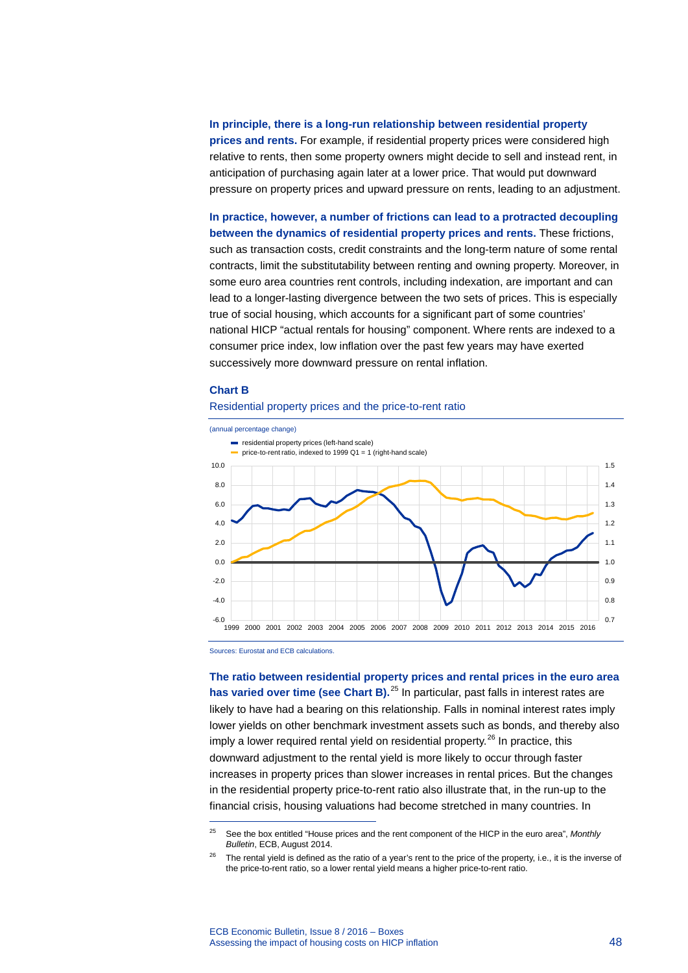**In principle, there is a long-run relationship between residential property prices and rents.** For example, if residential property prices were considered high relative to rents, then some property owners might decide to sell and instead rent, in anticipation of purchasing again later at a lower price. That would put downward pressure on property prices and upward pressure on rents, leading to an adjustment.

**In practice, however, a number of frictions can lead to a protracted decoupling between the dynamics of residential property prices and rents.** These frictions, such as transaction costs, credit constraints and the long-term nature of some rental contracts, limit the substitutability between renting and owning property. Moreover, in some euro area countries rent controls, including indexation, are important and can lead to a longer-lasting divergence between the two sets of prices. This is especially true of social housing, which accounts for a significant part of some countries' national HICP "actual rentals for housing" component. Where rents are indexed to a consumer price index, low inflation over the past few years may have exerted successively more downward pressure on rental inflation.

### **Chart B**

# Residential property prices and the price-to-rent ratio



Sources: Eurostat and ECB calculations.

-

**The ratio between residential property prices and rental prices in the euro area**  has varied over time (see Chart B).<sup>[25](#page-1-0)</sup> In particular, past falls in interest rates are likely to have had a bearing on this relationship. Falls in nominal interest rates imply lower yields on other benchmark investment assets such as bonds, and thereby also imply a lower required rental yield on residential property.<sup>[26](#page-1-1)</sup> In practice, this downward adjustment to the rental yield is more likely to occur through faster increases in property prices than slower increases in rental prices. But the changes in the residential property price-to-rent ratio also illustrate that, in the run-up to the financial crisis, housing valuations had become stretched in many countries. In

<span id="page-1-0"></span><sup>25</sup> See the box entitled "House prices and the rent component of the HICP in the euro area", *Monthly Bulletin*, ECB, August 2014.

<span id="page-1-1"></span><sup>&</sup>lt;sup>26</sup> The rental yield is defined as the ratio of a year's rent to the price of the property, i.e., it is the inverse of the price-to-rent ratio, so a lower rental yield means a higher price-to-rent ratio.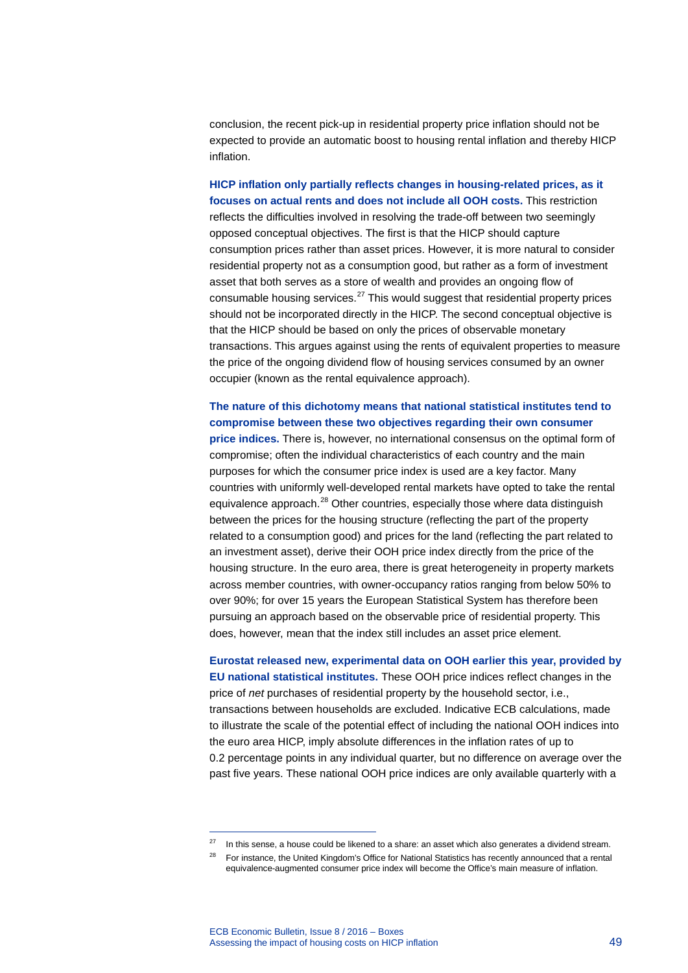conclusion, the recent pick-up in residential property price inflation should not be expected to provide an automatic boost to housing rental inflation and thereby HICP inflation.

**HICP inflation only partially reflects changes in housing-related prices, as it focuses on actual rents and does not include all OOH costs.** This restriction reflects the difficulties involved in resolving the trade-off between two seemingly opposed conceptual objectives. The first is that the HICP should capture consumption prices rather than asset prices. However, it is more natural to consider residential property not as a consumption good, but rather as a form of investment asset that both serves as a store of wealth and provides an ongoing flow of consumable housing services.<sup>[27](#page-2-0)</sup> This would suggest that residential property prices should not be incorporated directly in the HICP. The second conceptual objective is that the HICP should be based on only the prices of observable monetary transactions. This argues against using the rents of equivalent properties to measure the price of the ongoing dividend flow of housing services consumed by an owner occupier (known as the rental equivalence approach).

**The nature of this dichotomy means that national statistical institutes tend to compromise between these two objectives regarding their own consumer price indices.** There is, however, no international consensus on the optimal form of compromise; often the individual characteristics of each country and the main purposes for which the consumer price index is used are a key factor. Many countries with uniformly well-developed rental markets have opted to take the rental equivalence approach. $^{28}$  $^{28}$  $^{28}$  Other countries, especially those where data distinguish between the prices for the housing structure (reflecting the part of the property related to a consumption good) and prices for the land (reflecting the part related to an investment asset), derive their OOH price index directly from the price of the housing structure. In the euro area, there is great heterogeneity in property markets across member countries, with owner-occupancy ratios ranging from below 50% to over 90%; for over 15 years the European Statistical System has therefore been pursuing an approach based on the observable price of residential property. This does, however, mean that the index still includes an asset price element.

**Eurostat released new, experimental data on OOH earlier this year, provided by EU national statistical institutes.** These OOH price indices reflect changes in the price of *net* purchases of residential property by the household sector, i.e., transactions between households are excluded. Indicative ECB calculations, made to illustrate the scale of the potential effect of including the national OOH indices into the euro area HICP, imply absolute differences in the inflation rates of up to 0.2 percentage points in any individual quarter, but no difference on average over the past five years. These national OOH price indices are only available quarterly with a

-

<span id="page-2-0"></span> $27$  In this sense, a house could be likened to a share: an asset which also generates a dividend stream.

<span id="page-2-1"></span><sup>&</sup>lt;sup>28</sup> For instance, the United Kingdom's Office for National Statistics has recently announced that a rental equivalence-augmented consumer price index will become the Office's main measure of inflation.